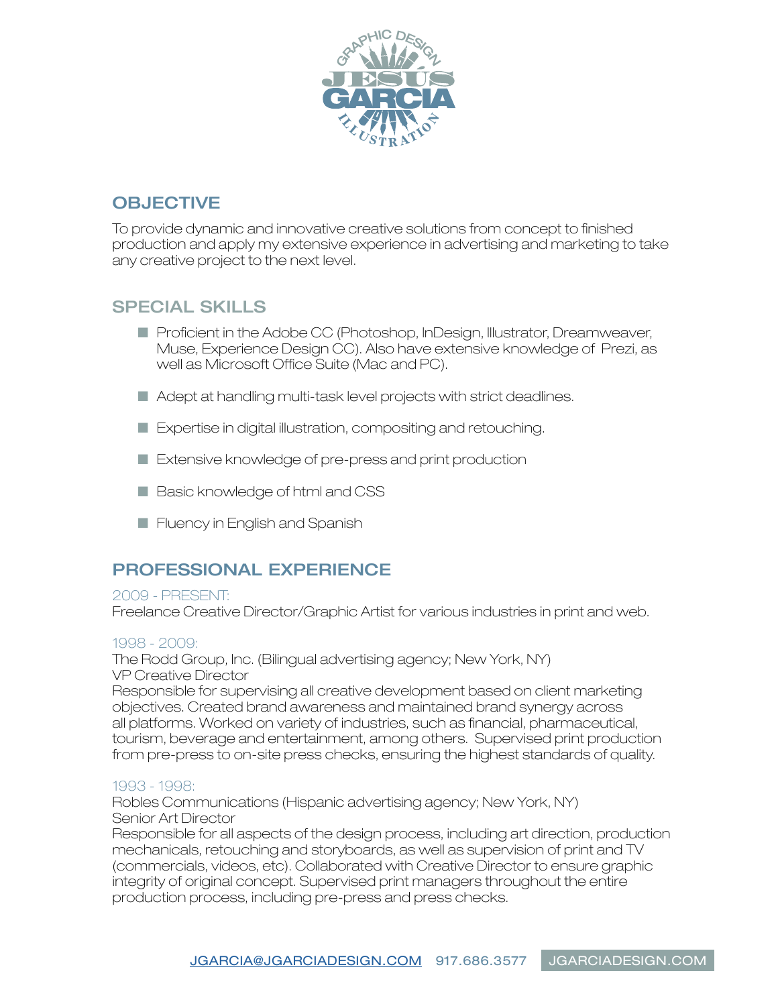

# **OBJECTIVE**

To provide dynamic and innovative creative solutions from concept to finished production and apply my extensive experience in advertising and marketing to take any creative project to the next level.

### SPECIAL SKILLS

- Proficient in the Adobe CC (Photoshop, InDesign, Illustrator, Dreamweaver, Muse, Experience Design CC). Also have extensive knowledge of Prezi, as well as Microsoft Office Suite (Mac and PC).
- Adept at handling [mu](http://jgarciadesign.com)lti-task level projects with strict deadlines.
- Expertise in digital illustration, compositing and retouching.
- Extensive knowledge of pre-press and print production
- Basic knowledge of html and CSS
- Fluency in English and Spanish

### PROFESSIONAL EXPERIENCE

#### 2009 - PRESENT:

Freelance Creative Director/Graphic Artist for various industries in print and web.

### 1998 - 2009:

The Rodd Group, Inc. (Bilingual advertising agency; New York, NY) VP Creative Director

Responsible for supervising all creative development based on client marketing objectives. Created brand awareness and maintained brand synergy across all platforms. Worked on variety of industries, such as financial, pharmaceutical, tourism, beverage and entertainment, among others. Supervised print production from pre-press to on-site press checks, ensuring the highest standards of quality.

### 1993 - 1998:

Robles Communications (Hispanic advertising agency; New York, NY) Senior Art Director

Responsible for all aspects of the design process, including art direction, production mechanicals, retouching and storyboards, as well as supervision of print and TV (commercials, videos, etc). Collaborated with Creative Director to ensure graphic integrity of original concept. Supervised print managers throughout the entire production process, including pre-press and press checks.